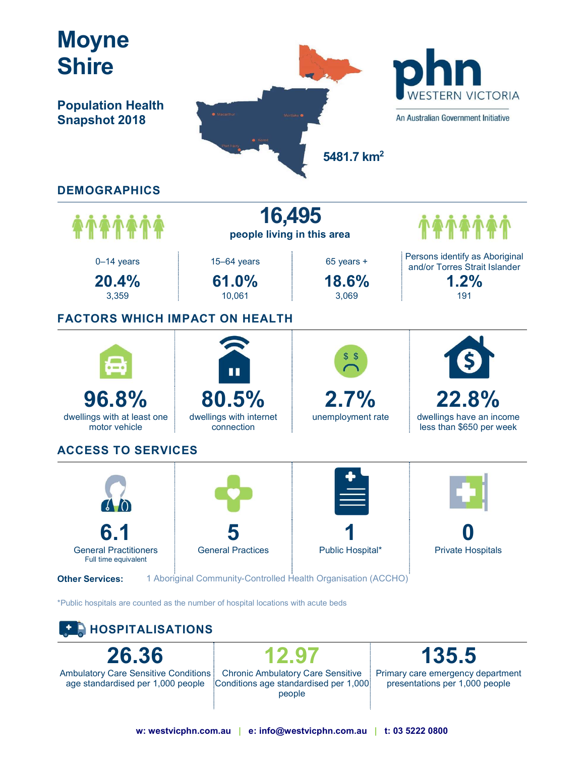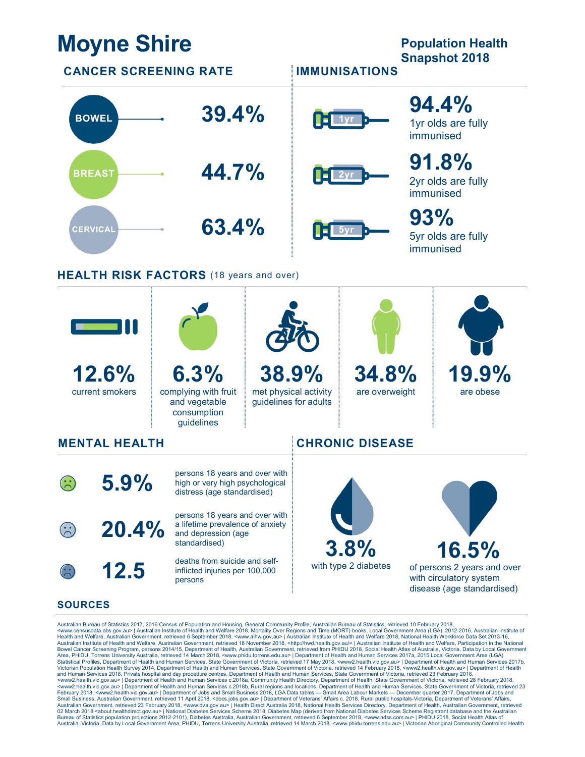## **Moyne Shire** Population Health

## Snapshot 2018



## **SOURCES**

Australian Bureau of Statistics 2017, 2016 Census of Population and Housing, General Community Profile, Australian Bureau of Statistics, retrieved 10 February 2018, <www.censusdata.abs.gov.au> | Australian Institute of Health and Welfare 2018, Mortality Over Regions and Time (MORT) books, Local Government Area (LGA), 2012-2016, Australian Institute of<br>Health and Welfare, Australian G Australian Institute of Health and Welfare, Australian Government, retrieved 18 November 2018, <http://hwd.health.gov.au/> | Australian Institute of Health and Welfare, Participation in the National<br>Bowel Cancer Screening <www2.health.vic.gov.au> | Department of Health and Human Services c.2018b, Rommunity Health Directory, Department of Health and Human Services (State Government of Victoria, retrieved 23<br><www2.health.vic.gov.au> | Depart 02 March 2018 <about.healthdirect.gov.au> | National Diabetes Services Scheme 2018, Diabetes Map (derived from National Diabetes Services Scheme Registrant database and the Australian<br>Bureau of Statistics population proje